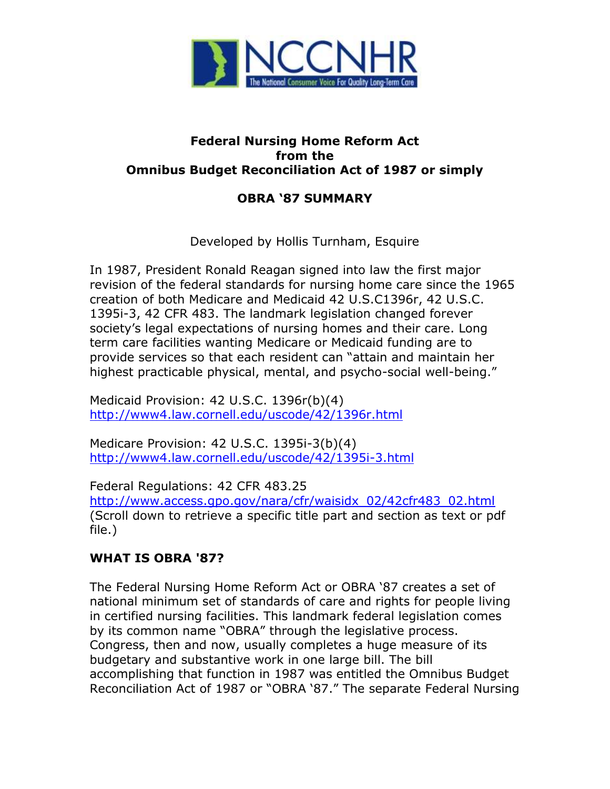

## **Federal Nursing Home Reform Act from the Omnibus Budget Reconciliation Act of 1987 or simply**

## **OBRA '87 SUMMARY**

Developed by Hollis Turnham, Esquire

In 1987, President Ronald Reagan signed into law the first major revision of the federal standards for nursing home care since the 1965 creation of both Medicare and Medicaid 42 U.S.C1396r, 42 U.S.C. 1395i-3, 42 CFR 483. The landmark legislation changed forever society's legal expectations of nursing homes and their care. Long term care facilities wanting Medicare or Medicaid funding are to provide services so that each resident can "attain and maintain her highest practicable physical, mental, and psycho-social well-being."

Medicaid Provision: 42 U.S.C. 1396r(b)(4) <http://www4.law.cornell.edu/uscode/42/1396r.html>

Medicare Provision: 42 U.S.C. 1395i-3(b)(4) [http://www4.law.cornell.edu/uscode/42/1395i-3.html](http://www4.law.cornell.edu/uscode/42/1395.html)

Federal Regulations: 42 CFR 483.25 [http://www.access.gpo.gov/nara/cfr/waisidx\\_02/42cfr483\\_02.html](http://www.access.gpo.gov/nara/cfr/waisidx_02/42cfr483_02.html) (Scroll down to retrieve a specific title part and section as text or pdf file.)

## **WHAT IS OBRA '87?**

The Federal Nursing Home Reform Act or OBRA '87 creates a set of national minimum set of standards of care and rights for people living in certified nursing facilities. This landmark federal legislation comes by its common name "OBRA" through the legislative process. Congress, then and now, usually completes a huge measure of its budgetary and substantive work in one large bill. The bill accomplishing that function in 1987 was entitled the Omnibus Budget Reconciliation Act of 1987 or "OBRA '87." The separate Federal Nursing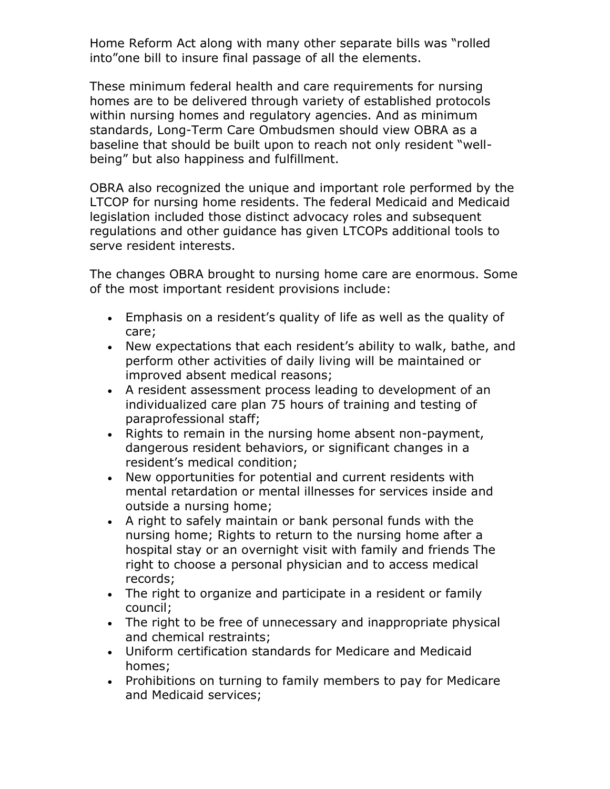Home Reform Act along with many other separate bills was "rolled into"one bill to insure final passage of all the elements.

These minimum federal health and care requirements for nursing homes are to be delivered through variety of established protocols within nursing homes and regulatory agencies. And as minimum standards, Long-Term Care Ombudsmen should view OBRA as a baseline that should be built upon to reach not only resident "wellbeing" but also happiness and fulfillment.

OBRA also recognized the unique and important role performed by the LTCOP for nursing home residents. The federal Medicaid and Medicaid legislation included those distinct advocacy roles and subsequent regulations and other guidance has given LTCOPs additional tools to serve resident interests.

The changes OBRA brought to nursing home care are enormous. Some of the most important resident provisions include:

- Emphasis on a resident's quality of life as well as the quality of care;
- New expectations that each resident's ability to walk, bathe, and perform other activities of daily living will be maintained or improved absent medical reasons;
- A resident assessment process leading to development of an individualized care plan 75 hours of training and testing of paraprofessional staff;
- Rights to remain in the nursing home absent non-payment, dangerous resident behaviors, or significant changes in a resident's medical condition;
- New opportunities for potential and current residents with mental retardation or mental illnesses for services inside and outside a nursing home;
- A right to safely maintain or bank personal funds with the nursing home; Rights to return to the nursing home after a hospital stay or an overnight visit with family and friends The right to choose a personal physician and to access medical records;
- The right to organize and participate in a resident or family council;
- The right to be free of unnecessary and inappropriate physical and chemical restraints;
- Uniform certification standards for Medicare and Medicaid homes;
- Prohibitions on turning to family members to pay for Medicare and Medicaid services;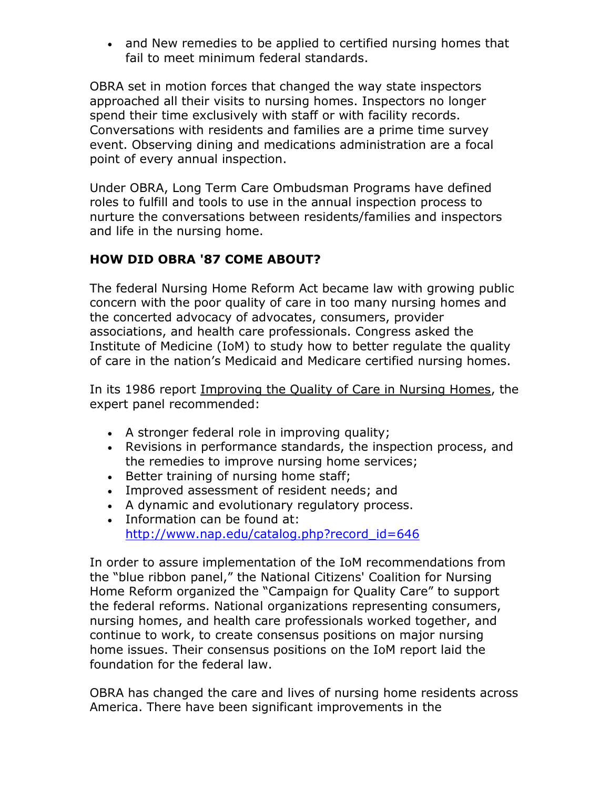• and New remedies to be applied to certified nursing homes that fail to meet minimum federal standards.

OBRA set in motion forces that changed the way state inspectors approached all their visits to nursing homes. Inspectors no longer spend their time exclusively with staff or with facility records. Conversations with residents and families are a prime time survey event. Observing dining and medications administration are a focal point of every annual inspection.

Under OBRA, Long Term Care Ombudsman Programs have defined roles to fulfill and tools to use in the annual inspection process to nurture the conversations between residents/families and inspectors and life in the nursing home.

## **HOW DID OBRA '87 COME ABOUT?**

The federal Nursing Home Reform Act became law with growing public concern with the poor quality of care in too many nursing homes and the concerted advocacy of advocates, consumers, provider associations, and health care professionals. Congress asked the Institute of Medicine (IoM) to study how to better regulate the quality of care in the nation's Medicaid and Medicare certified nursing homes.

In its 1986 report Improving the Quality of Care in Nursing Homes, the expert panel recommended:

- A stronger federal role in improving quality;
- Revisions in performance standards, the inspection process, and the remedies to improve nursing home services;
- **Better training of nursing home staff;**
- Improved assessment of resident needs; and
- A dynamic and evolutionary regulatory process.
- Information can be found at: [http://www.nap.edu/catalog.php?record\\_id=646](http://www.nap.edu/catalog.php?record_id=646)

In order to assure implementation of the IoM recommendations from the "blue ribbon panel," the National Citizens' Coalition for Nursing Home Reform organized the "Campaign for Quality Care" to support the federal reforms. National organizations representing consumers, nursing homes, and health care professionals worked together, and continue to work, to create consensus positions on major nursing home issues. Their consensus positions on the IoM report laid the foundation for the federal law.

OBRA has changed the care and lives of nursing home residents across America. There have been significant improvements in the